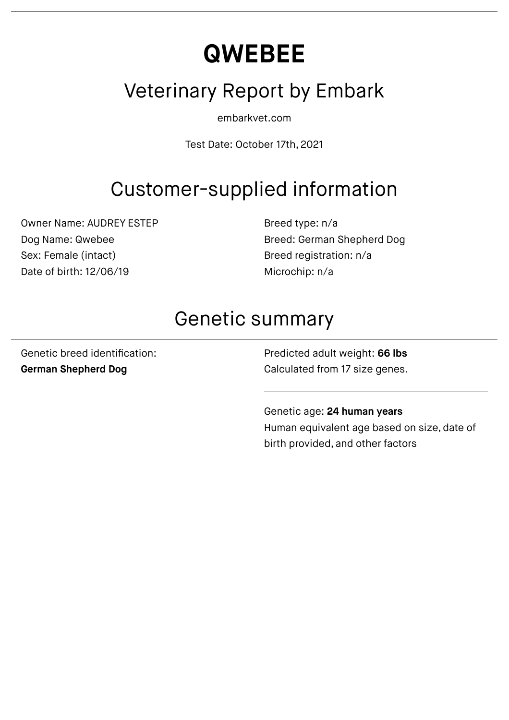# **QWEBEE**

### Veterinary Report by Embark

embarkvet.com

Test Date: October 17th, 2021

# Customer-supplied information

Owner Name: AUDREY ESTEP Dog Name: Qwebee Sex: Female (intact) Date of birth: 12/06/19

Breed type: n/a Breed: German Shepherd Dog Breed registration: n/a Microchip: n/a

### Genetic summary

Genetic breed identification: **German Shepherd Dog**

Predicted adult weight: **66 lbs** Calculated from 17 size genes.

Genetic age: **24 human years** Human equivalent age based on size, date of birth provided, and other factors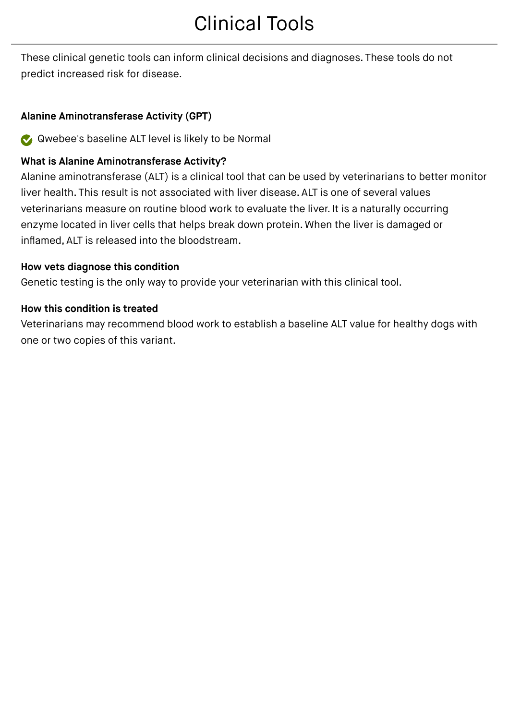# Clinical Tools

These clinical genetic tools can inform clinical decisions and diagnoses. These tools do not predict increased risk for disease.

#### **Alanine Aminotransferase Activity (GPT)**

Qwebee's baseline ALT level is likely to be Normal

#### **What is Alanine Aminotransferase Activity?**

Alanine aminotransferase (ALT) is a clinical tool that can be used by veterinarians to better monitor liver health. This result is not associated with liver disease. ALT is one of several values veterinarians measure on routine blood work to evaluate the liver. It is a naturally occurring enzyme located in liver cells that helps break down protein. When the liver is damaged or inflamed, ALT is released into the bloodstream.

#### **How vets diagnose this condition**

Genetic testing is the only way to provide your veterinarian with this clinical tool.

#### **How this condition is treated**

Veterinarians may recommend blood work to establish a baseline ALT value for healthy dogs with one or two copies of this variant.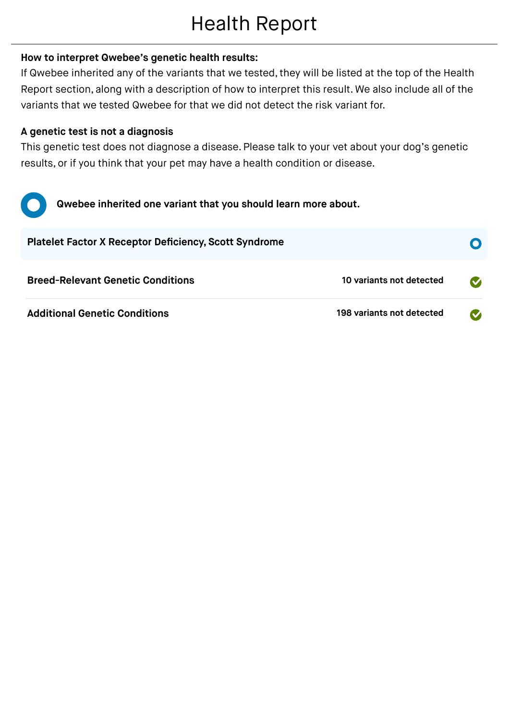# Health Report

#### **How to interpret Qwebee's genetic health results:**

If Qwebee inherited any of the variants that we tested, they will be listed at the top of the Health Report section, along with a description of how to interpret this result. We also include all of the variants that we tested Qwebee for that we did not detect the risk variant for.

#### **A genetic test is not a diagnosis**

This genetic test does not diagnose a disease. Please talk to your vet about your dog's genetic results, or if you think that your pet may have a health condition or disease.



| <b>Breed-Relevant Genetic Conditions</b> | 10 variants not detected  | $\bullet$         |
|------------------------------------------|---------------------------|-------------------|
| <b>Additional Genetic Conditions</b>     | 198 variants not detected | $\mathbf{\Omega}$ |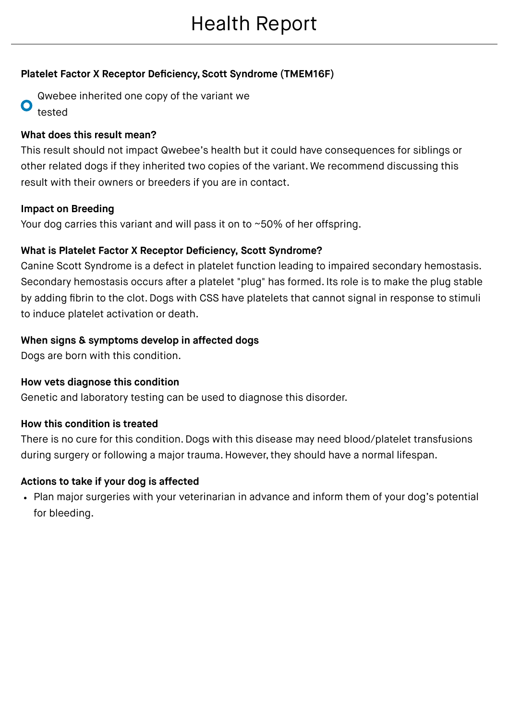#### **Platelet Factor X Receptor Deficiency, Scott Syndrome (TMEM16F)**

Qwebee inherited one copy of the variant we O tested

#### **What does this result mean?**

This result should not impact Qwebee's health but it could have consequences for siblings or other related dogs if they inherited two copies of the variant. We recommend discussing this result with their owners or breeders if you are in contact.

#### **Impact on Breeding**

Your dog carries this variant and will pass it on to ~50% of her offspring.

#### **What is Platelet Factor X Receptor Deficiency, Scott Syndrome?**

Canine Scott Syndrome is a defect in platelet function leading to impaired secondary hemostasis. Secondary hemostasis occurs after a platelet "plug" has formed. Its role is to make the plug stable by adding fibrin to the clot. Dogs with CSS have platelets that cannot signal in response to stimuli to induce platelet activation or death.

#### **When signs & symptoms develop in affected dogs**

Dogs are born with this condition.

#### **How vets diagnose this condition**

Genetic and laboratory testing can be used to diagnose this disorder.

#### **How this condition is treated**

There is no cure for this condition. Dogs with this disease may need blood/platelet transfusions during surgery or following a major trauma. However, they should have a normal lifespan.

#### **Actions to take if your dog is affected**

Plan major surgeries with your veterinarian in advance and inform them of your dog's potential for bleeding.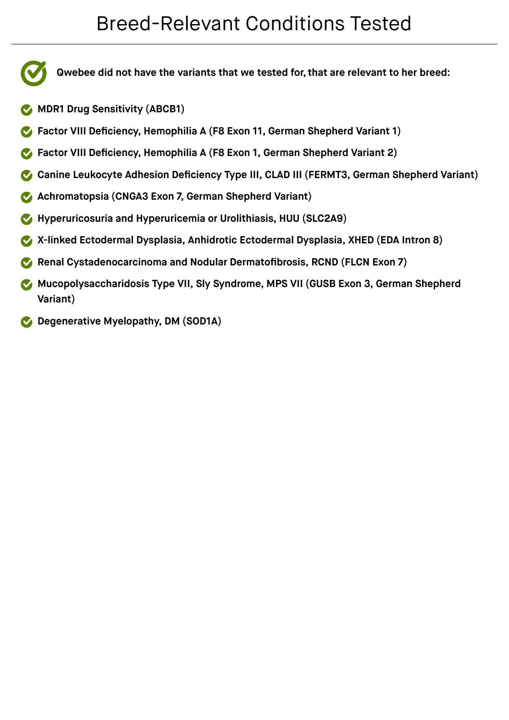### Breed-Relevant Conditions Tested

**Qwebee did not have the variants that we tested for, that are relevant to her breed:**

- **MDR1 Drug Sensitivity (ABCB1)**
- **Factor VIII Deficiency, Hemophilia A (F8 Exon 11, German Shepherd Variant 1)**
- **Factor VIII Deficiency, Hemophilia A (F8 Exon 1, German Shepherd Variant 2)**
- **Canine Leukocyte Adhesion Deficiency Type III, CLAD III (FERMT3, German Shepherd Variant)**
- **Achromatopsia (CNGA3 Exon 7, German Shepherd Variant)**
- **Hyperuricosuria and Hyperuricemia or Urolithiasis, HUU (SLC2A9)**
- **X-linked Ectodermal Dysplasia, Anhidrotic Ectodermal Dysplasia, XHED (EDA Intron 8)**
- **Renal Cystadenocarcinoma and Nodular Dermatofibrosis, RCND (FLCN Exon 7)**
- **Mucopolysaccharidosis Type VII, Sly Syndrome, MPS VII (GUSB Exon 3, German Shepherd Variant)**
- **Degenerative Myelopathy, DM (SOD1A)**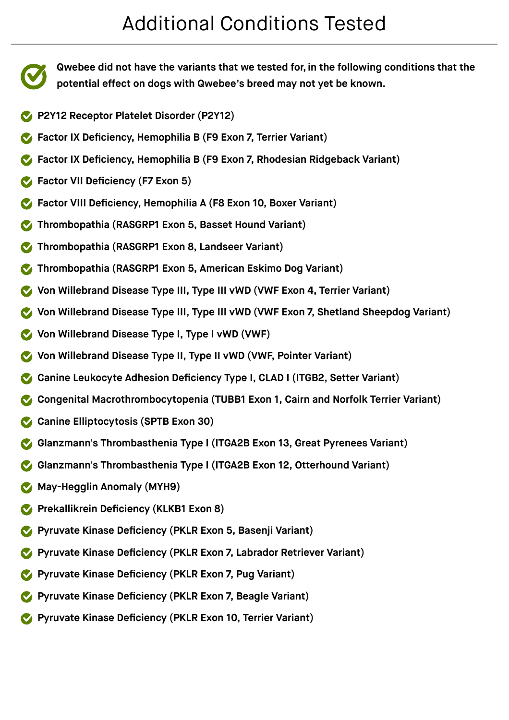$\blacktriangledown$ 

**Qwebee did not have the variants that we tested for, in the following conditions that the potential effect on dogs with Qwebee's breed may not yet be known.**

- **P2Y12 Receptor Platelet Disorder (P2Y12)**
- **Factor IX Deficiency, Hemophilia B (F9 Exon 7, Terrier Variant)**
- **Factor IX Deficiency, Hemophilia B (F9 Exon 7, Rhodesian Ridgeback Variant)**
- **Factor VII Deficiency (F7 Exon 5)**
- **Factor VIII Deficiency, Hemophilia A (F8 Exon 10, Boxer Variant)**
- **Thrombopathia (RASGRP1 Exon 5, Basset Hound Variant)**
- **Thrombopathia (RASGRP1 Exon 8, Landseer Variant)**
- **Thrombopathia (RASGRP1 Exon 5, American Eskimo Dog Variant)**
- **Von Willebrand Disease Type III, Type III vWD (VWF Exon 4, Terrier Variant)**
- **Von Willebrand Disease Type III, Type III vWD (VWF Exon 7, Shetland Sheepdog Variant)**
- **Von Willebrand Disease Type I, Type I vWD (VWF)**
- **Von Willebrand Disease Type II, Type II vWD (VWF, Pointer Variant)**
- **Canine Leukocyte Adhesion Deficiency Type I, CLAD I (ITGB2, Setter Variant)**
- **Congenital Macrothrombocytopenia (TUBB1 Exon 1, Cairn and Norfolk Terrier Variant)**
- **Canine Elliptocytosis (SPTB Exon 30)**
- **Glanzmann's Thrombasthenia Type I (ITGA2B Exon 13, Great Pyrenees Variant)**
- **Glanzmann's Thrombasthenia Type I (ITGA2B Exon 12, Otterhound Variant)**
- **May-Hegglin Anomaly (MYH9)**
- **Prekallikrein Deficiency (KLKB1 Exon 8)**
- **Pyruvate Kinase Deficiency (PKLR Exon 5, Basenji Variant)**
- **Pyruvate Kinase Deficiency (PKLR Exon 7, Labrador Retriever Variant)**
- **Pyruvate Kinase Deficiency (PKLR Exon 7, Pug Variant)**
- **Pyruvate Kinase Deficiency (PKLR Exon 7, Beagle Variant)**
- **Pyruvate Kinase Deficiency (PKLR Exon 10, Terrier Variant)**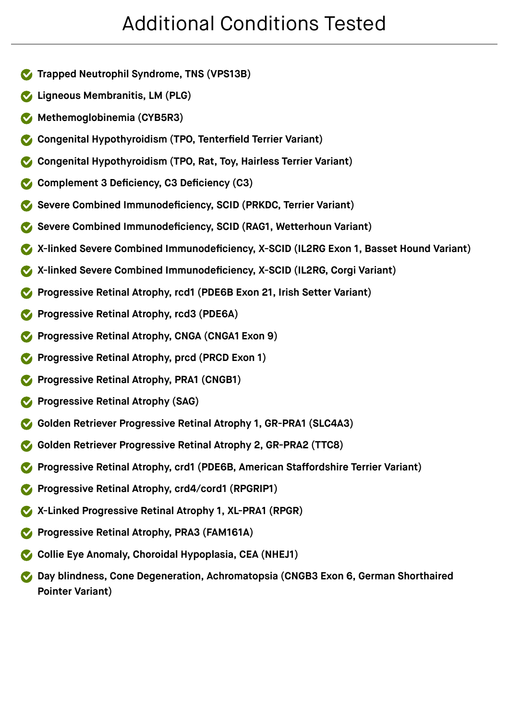- **Trapped Neutrophil Syndrome, TNS (VPS13B)**
- **Ligneous Membranitis, LM (PLG)**
- **Methemoglobinemia (CYB5R3)**
- **Congenital Hypothyroidism (TPO, Tenterfield Terrier Variant)**
- **Congenital Hypothyroidism (TPO, Rat, Toy, Hairless Terrier Variant)**
- **Complement 3 Deficiency, C3 Deficiency (C3)**
- **Severe Combined Immunodeficiency, SCID (PRKDC, Terrier Variant)**
- **Severe Combined Immunodeficiency, SCID (RAG1, Wetterhoun Variant)**
- **X-linked Severe Combined Immunodeficiency, X-SCID (IL2RG Exon 1, Basset Hound Variant)**
- **X-linked Severe Combined Immunodeficiency, X-SCID (IL2RG, Corgi Variant)**
- **Progressive Retinal Atrophy, rcd1 (PDE6B Exon 21, Irish Setter Variant)**
- **Progressive Retinal Atrophy, rcd3 (PDE6A)**
- **Progressive Retinal Atrophy, CNGA (CNGA1 Exon 9)**
- **Progressive Retinal Atrophy, prcd (PRCD Exon 1)**
- **Progressive Retinal Atrophy, PRA1 (CNGB1)**
- **Progressive Retinal Atrophy (SAG)**
- **Golden Retriever Progressive Retinal Atrophy 1, GR-PRA1 (SLC4A3)**
- **Golden Retriever Progressive Retinal Atrophy 2, GR-PRA2 (TTC8)**
- **Progressive Retinal Atrophy, crd1 (PDE6B, American Staffordshire Terrier Variant)**
- **Progressive Retinal Atrophy, crd4/cord1 (RPGRIP1)**
- **X-Linked Progressive Retinal Atrophy 1, XL-PRA1 (RPGR)**
- **Progressive Retinal Atrophy, PRA3 (FAM161A)**
- **Collie Eye Anomaly, Choroidal Hypoplasia, CEA (NHEJ1)**
- **Day blindness, Cone Degeneration, Achromatopsia (CNGB3 Exon 6, German Shorthaired Pointer Variant)**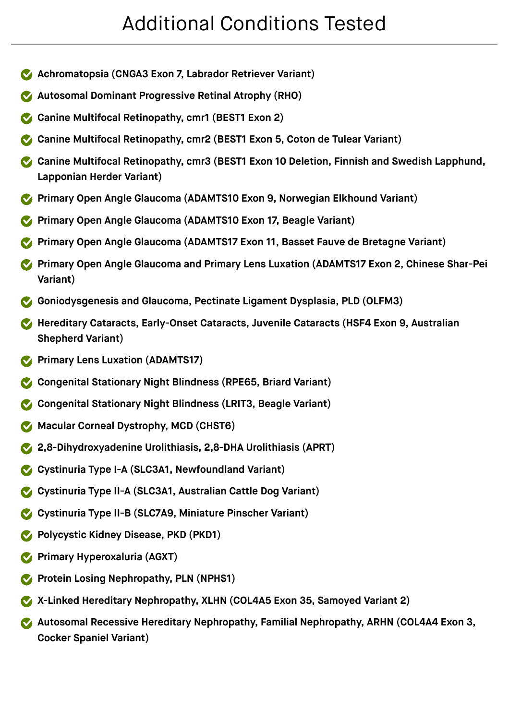- **Achromatopsia (CNGA3 Exon 7, Labrador Retriever Variant)**
- **Autosomal Dominant Progressive Retinal Atrophy (RHO)**
- **Canine Multifocal Retinopathy, cmr1 (BEST1 Exon 2)**
- **Canine Multifocal Retinopathy, cmr2 (BEST1 Exon 5, Coton de Tulear Variant)**
- **Canine Multifocal Retinopathy, cmr3 (BEST1 Exon 10 Deletion, Finnish and Swedish Lapphund, Lapponian Herder Variant)**
- **Primary Open Angle Glaucoma (ADAMTS10 Exon 9, Norwegian Elkhound Variant)**
- **Primary Open Angle Glaucoma (ADAMTS10 Exon 17, Beagle Variant)**
- **Primary Open Angle Glaucoma (ADAMTS17 Exon 11, Basset Fauve de Bretagne Variant)**
- **Primary Open Angle Glaucoma and Primary Lens Luxation (ADAMTS17 Exon 2, Chinese Shar-Pei Variant)**
- **Goniodysgenesis and Glaucoma, Pectinate Ligament Dysplasia, PLD (OLFM3)**
- **Hereditary Cataracts, Early-Onset Cataracts, Juvenile Cataracts (HSF4 Exon 9, Australian Shepherd Variant)**
- **Primary Lens Luxation (ADAMTS17)**
- **Congenital Stationary Night Blindness (RPE65, Briard Variant)**
- **Congenital Stationary Night Blindness (LRIT3, Beagle Variant)**
- **Macular Corneal Dystrophy, MCD (CHST6)**
- **2,8-Dihydroxyadenine Urolithiasis, 2,8-DHA Urolithiasis (APRT)**
- **Cystinuria Type I-A (SLC3A1, Newfoundland Variant)**
- **Cystinuria Type II-A (SLC3A1, Australian Cattle Dog Variant)**
- **Cystinuria Type II-B (SLC7A9, Miniature Pinscher Variant)**
- **Polycystic Kidney Disease, PKD (PKD1)**
- **Primary Hyperoxaluria (AGXT)**
- **Protein Losing Nephropathy, PLN (NPHS1)**
- **X-Linked Hereditary Nephropathy, XLHN (COL4A5 Exon 35, Samoyed Variant 2)**
- **Autosomal Recessive Hereditary Nephropathy, Familial Nephropathy, ARHN (COL4A4 Exon 3, Cocker Spaniel Variant)**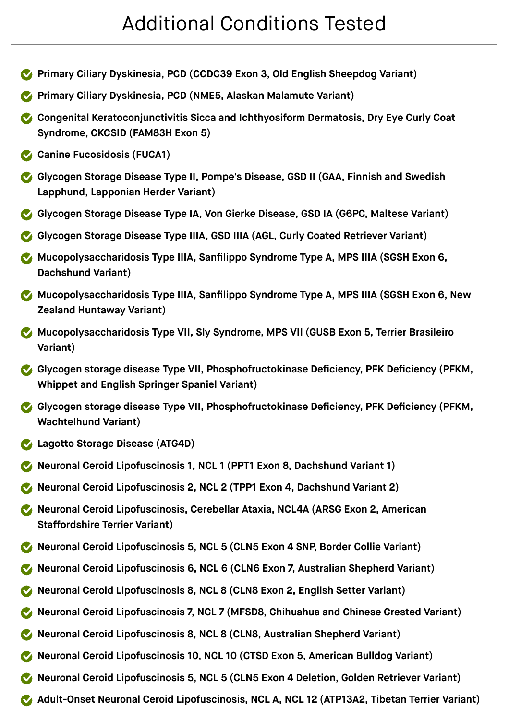- **Primary Ciliary Dyskinesia, PCD (CCDC39 Exon 3, Old English Sheepdog Variant)**
- **Primary Ciliary Dyskinesia, PCD (NME5, Alaskan Malamute Variant)**
- **Congenital Keratoconjunctivitis Sicca and Ichthyosiform Dermatosis, Dry Eye Curly Coat Syndrome, CKCSID (FAM83H Exon 5)**
- **Canine Fucosidosis (FUCA1)**
- **Glycogen Storage Disease Type II, Pompe's Disease, GSD II (GAA, Finnish and Swedish Lapphund, Lapponian Herder Variant)**
- **Glycogen Storage Disease Type IA, Von Gierke Disease, GSD IA (G6PC, Maltese Variant)**
- **Glycogen Storage Disease Type IIIA, GSD IIIA (AGL, Curly Coated Retriever Variant)**
- **Mucopolysaccharidosis Type IIIA, Sanfilippo Syndrome Type A, MPS IIIA (SGSH Exon 6, Dachshund Variant)**
- **Mucopolysaccharidosis Type IIIA, Sanfilippo Syndrome Type A, MPS IIIA (SGSH Exon 6, New Zealand Huntaway Variant)**
- **Mucopolysaccharidosis Type VII, Sly Syndrome, MPS VII (GUSB Exon 5, Terrier Brasileiro Variant)**
- **Glycogen storage disease Type VII, Phosphofructokinase Deficiency, PFK Deficiency (PFKM, Whippet and English Springer Spaniel Variant)**
- **Glycogen storage disease Type VII, Phosphofructokinase Deficiency, PFK Deficiency (PFKM, Wachtelhund Variant)**
- **Lagotto Storage Disease (ATG4D)**
- **Neuronal Ceroid Lipofuscinosis 1, NCL 1 (PPT1 Exon 8, Dachshund Variant 1)**
- **Neuronal Ceroid Lipofuscinosis 2, NCL 2 (TPP1 Exon 4, Dachshund Variant 2)**
- **Neuronal Ceroid Lipofuscinosis, Cerebellar Ataxia, NCL4A (ARSG Exon 2, American Staffordshire Terrier Variant)**
- **Neuronal Ceroid Lipofuscinosis 5, NCL 5 (CLN5 Exon 4 SNP, Border Collie Variant)**
- **Neuronal Ceroid Lipofuscinosis 6, NCL 6 (CLN6 Exon 7, Australian Shepherd Variant)**
- **Neuronal Ceroid Lipofuscinosis 8, NCL 8 (CLN8 Exon 2, English Setter Variant)**
- **Neuronal Ceroid Lipofuscinosis 7, NCL 7 (MFSD8, Chihuahua and Chinese Crested Variant)**
- **Neuronal Ceroid Lipofuscinosis 8, NCL 8 (CLN8, Australian Shepherd Variant)**
- **Neuronal Ceroid Lipofuscinosis 10, NCL 10 (CTSD Exon 5, American Bulldog Variant)**
- **Neuronal Ceroid Lipofuscinosis 5, NCL 5 (CLN5 Exon 4 Deletion, Golden Retriever Variant)**
- **Adult-Onset Neuronal Ceroid Lipofuscinosis, NCL A, NCL 12 (ATP13A2, Tibetan Terrier Variant)**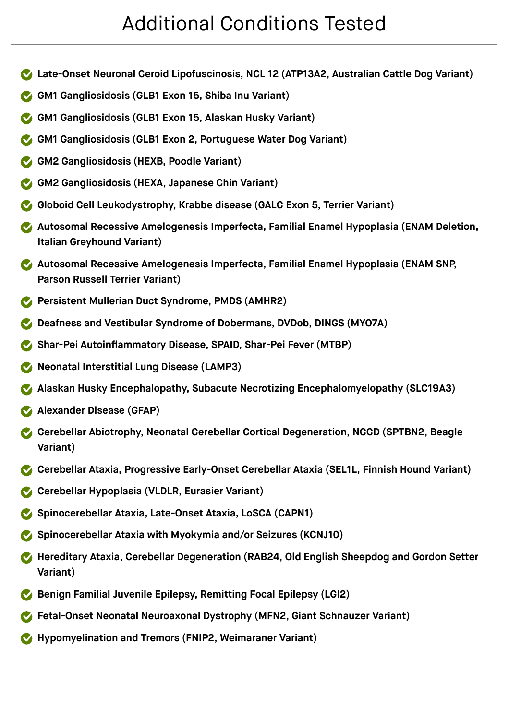- **Late-Onset Neuronal Ceroid Lipofuscinosis, NCL 12 (ATP13A2, Australian Cattle Dog Variant)**
- **GM1 Gangliosidosis (GLB1 Exon 15, Shiba Inu Variant)**
- **GM1 Gangliosidosis (GLB1 Exon 15, Alaskan Husky Variant)**
- **GM1 Gangliosidosis (GLB1 Exon 2, Portuguese Water Dog Variant)**
- **GM2 Gangliosidosis (HEXB, Poodle Variant)**
- **GM2 Gangliosidosis (HEXA, Japanese Chin Variant)**
- **Globoid Cell Leukodystrophy, Krabbe disease (GALC Exon 5, Terrier Variant)**
- **Autosomal Recessive Amelogenesis Imperfecta, Familial Enamel Hypoplasia (ENAM Deletion, Italian Greyhound Variant)**
- **Autosomal Recessive Amelogenesis Imperfecta, Familial Enamel Hypoplasia (ENAM SNP, Parson Russell Terrier Variant)**
- **Persistent Mullerian Duct Syndrome, PMDS (AMHR2)**
- **Deafness and Vestibular Syndrome of Dobermans, DVDob, DINGS (MYO7A)**
- **Shar-Pei Autoinflammatory Disease, SPAID, Shar-Pei Fever (MTBP)**
- **Neonatal Interstitial Lung Disease (LAMP3)**
- **Alaskan Husky Encephalopathy, Subacute Necrotizing Encephalomyelopathy (SLC19A3)**
- **Alexander Disease (GFAP)**
- **Cerebellar Abiotrophy, Neonatal Cerebellar Cortical Degeneration, NCCD (SPTBN2, Beagle Variant)**
- **Cerebellar Ataxia, Progressive Early-Onset Cerebellar Ataxia (SEL1L, Finnish Hound Variant)**
- **Cerebellar Hypoplasia (VLDLR, Eurasier Variant)**
- **Spinocerebellar Ataxia, Late-Onset Ataxia, LoSCA (CAPN1)**
- **Spinocerebellar Ataxia with Myokymia and/or Seizures (KCNJ10)**
- **Hereditary Ataxia, Cerebellar Degeneration (RAB24, Old English Sheepdog and Gordon Setter Variant)**
- **Benign Familial Juvenile Epilepsy, Remitting Focal Epilepsy (LGI2)**
- **Fetal-Onset Neonatal Neuroaxonal Dystrophy (MFN2, Giant Schnauzer Variant)**
- **Hypomyelination and Tremors (FNIP2, Weimaraner Variant)**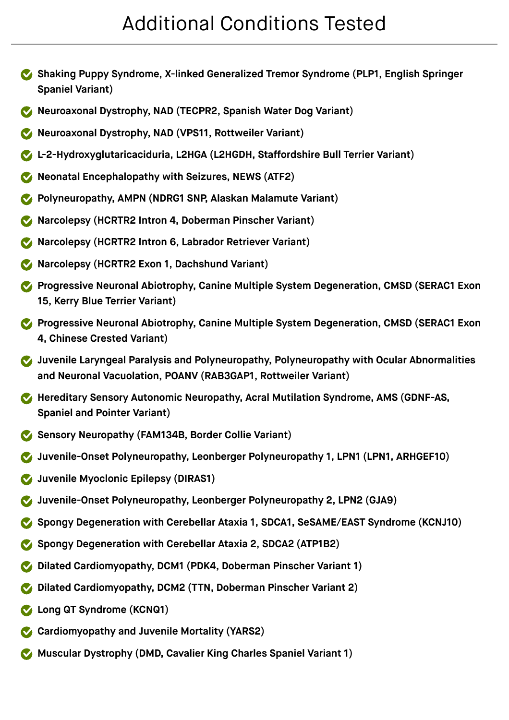- **Shaking Puppy Syndrome, X-linked Generalized Tremor Syndrome (PLP1, English Springer Spaniel Variant)**
- **Neuroaxonal Dystrophy, NAD (TECPR2, Spanish Water Dog Variant)**
- **Neuroaxonal Dystrophy, NAD (VPS11, Rottweiler Variant)**
- **L-2-Hydroxyglutaricaciduria, L2HGA (L2HGDH, Staffordshire Bull Terrier Variant)**
- **Neonatal Encephalopathy with Seizures, NEWS (ATF2)**
- **Polyneuropathy, AMPN (NDRG1 SNP, Alaskan Malamute Variant)**
- **Narcolepsy (HCRTR2 Intron 4, Doberman Pinscher Variant)**
- **Narcolepsy (HCRTR2 Intron 6, Labrador Retriever Variant)**
- **Narcolepsy (HCRTR2 Exon 1, Dachshund Variant)**
- **Progressive Neuronal Abiotrophy, Canine Multiple System Degeneration, CMSD (SERAC1 Exon 15, Kerry Blue Terrier Variant)**
- **Progressive Neuronal Abiotrophy, Canine Multiple System Degeneration, CMSD (SERAC1 Exon 4, Chinese Crested Variant)**
- **Juvenile Laryngeal Paralysis and Polyneuropathy, Polyneuropathy with Ocular Abnormalities and Neuronal Vacuolation, POANV (RAB3GAP1, Rottweiler Variant)**
- **Hereditary Sensory Autonomic Neuropathy, Acral Mutilation Syndrome, AMS (GDNF-AS, Spaniel and Pointer Variant)**
- **Sensory Neuropathy (FAM134B, Border Collie Variant)**
- **Juvenile-Onset Polyneuropathy, Leonberger Polyneuropathy 1, LPN1 (LPN1, ARHGEF10)**
- **Juvenile Myoclonic Epilepsy (DIRAS1)**
- **Juvenile-Onset Polyneuropathy, Leonberger Polyneuropathy 2, LPN2 (GJA9)**
- **Spongy Degeneration with Cerebellar Ataxia 1, SDCA1, SeSAME/EAST Syndrome (KCNJ10)**
- **Spongy Degeneration with Cerebellar Ataxia 2, SDCA2 (ATP1B2)**
- **Dilated Cardiomyopathy, DCM1 (PDK4, Doberman Pinscher Variant 1)**
- **Dilated Cardiomyopathy, DCM2 (TTN, Doberman Pinscher Variant 2)**
- **Long QT Syndrome (KCNQ1)**
- **Cardiomyopathy and Juvenile Mortality (YARS2)**
- **Muscular Dystrophy (DMD, Cavalier King Charles Spaniel Variant 1)**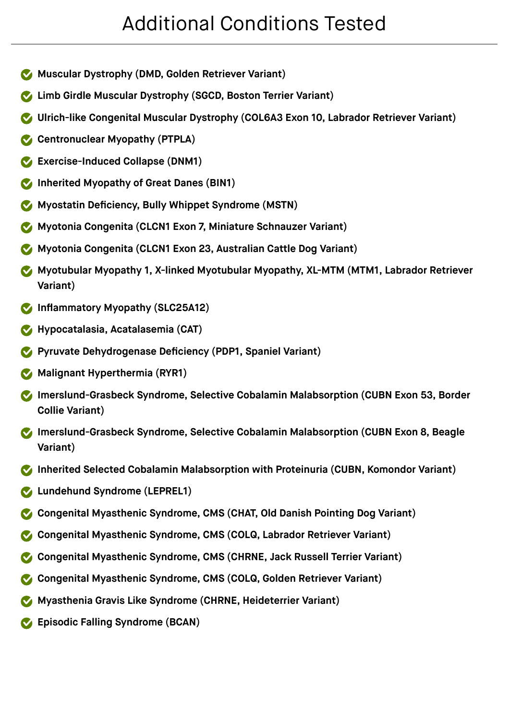- **Muscular Dystrophy (DMD, Golden Retriever Variant)**
- **Limb Girdle Muscular Dystrophy (SGCD, Boston Terrier Variant)**
- **Ulrich-like Congenital Muscular Dystrophy (COL6A3 Exon 10, Labrador Retriever Variant)**
- **Centronuclear Myopathy (PTPLA)**
- **Exercise-Induced Collapse (DNM1)**
- **Inherited Myopathy of Great Danes (BIN1)**
- **Myostatin Deficiency, Bully Whippet Syndrome (MSTN)**
- **Myotonia Congenita (CLCN1 Exon 7, Miniature Schnauzer Variant)**
- **Myotonia Congenita (CLCN1 Exon 23, Australian Cattle Dog Variant)**
- **Myotubular Myopathy 1, X-linked Myotubular Myopathy, XL-MTM (MTM1, Labrador Retriever Variant)**
- **Inflammatory Myopathy (SLC25A12)**
- **Hypocatalasia, Acatalasemia (CAT)**
- **Pyruvate Dehydrogenase Deficiency (PDP1, Spaniel Variant)**
- **Malignant Hyperthermia (RYR1)**
- **Imerslund-Grasbeck Syndrome, Selective Cobalamin Malabsorption (CUBN Exon 53, Border Collie Variant)**
- **Imerslund-Grasbeck Syndrome, Selective Cobalamin Malabsorption (CUBN Exon 8, Beagle Variant)**
- **Inherited Selected Cobalamin Malabsorption with Proteinuria (CUBN, Komondor Variant)**
- **Lundehund Syndrome (LEPREL1)**
- **Congenital Myasthenic Syndrome, CMS (CHAT, Old Danish Pointing Dog Variant)**
- **Congenital Myasthenic Syndrome, CMS (COLQ, Labrador Retriever Variant)**
- **Congenital Myasthenic Syndrome, CMS (CHRNE, Jack Russell Terrier Variant)**
- **Congenital Myasthenic Syndrome, CMS (COLQ, Golden Retriever Variant)**
- **Myasthenia Gravis Like Syndrome (CHRNE, Heideterrier Variant)**
- **Episodic Falling Syndrome (BCAN)**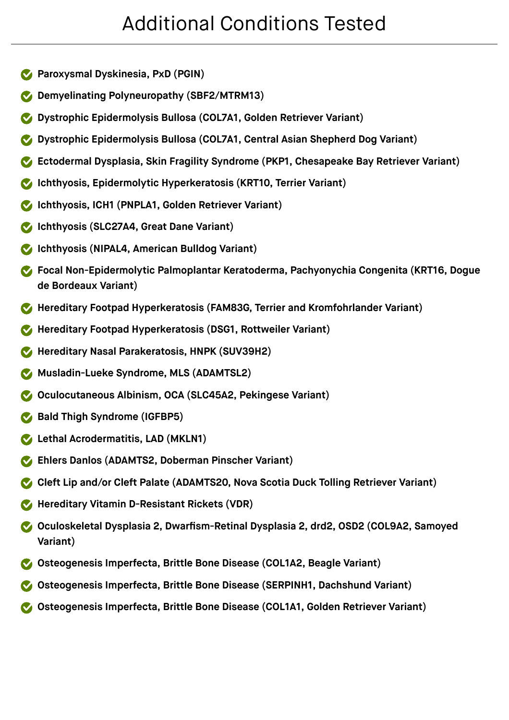- **Paroxysmal Dyskinesia, PxD (PGIN)**
- **Demyelinating Polyneuropathy (SBF2/MTRM13)**
- **Dystrophic Epidermolysis Bullosa (COL7A1, Golden Retriever Variant)**
- **Dystrophic Epidermolysis Bullosa (COL7A1, Central Asian Shepherd Dog Variant)**
- **Ectodermal Dysplasia, Skin Fragility Syndrome (PKP1, Chesapeake Bay Retriever Variant)**
- **Ichthyosis, Epidermolytic Hyperkeratosis (KRT10, Terrier Variant)**
- **Ichthyosis, ICH1 (PNPLA1, Golden Retriever Variant)**
- **Ichthyosis (SLC27A4, Great Dane Variant)**
- **Ichthyosis (NIPAL4, American Bulldog Variant)**
- **Focal Non-Epidermolytic Palmoplantar Keratoderma, Pachyonychia Congenita (KRT16, Dogue de Bordeaux Variant)**
- **Hereditary Footpad Hyperkeratosis (FAM83G, Terrier and Kromfohrlander Variant)**
- **Hereditary Footpad Hyperkeratosis (DSG1, Rottweiler Variant)**
- **Hereditary Nasal Parakeratosis, HNPK (SUV39H2)**
- **Musladin-Lueke Syndrome, MLS (ADAMTSL2)**
- **Oculocutaneous Albinism, OCA (SLC45A2, Pekingese Variant)**
- **Bald Thigh Syndrome (IGFBP5)**
- **Lethal Acrodermatitis, LAD (MKLN1)**
- **Ehlers Danlos (ADAMTS2, Doberman Pinscher Variant)**
- **Cleft Lip and/or Cleft Palate (ADAMTS20, Nova Scotia Duck Tolling Retriever Variant)**
- **Hereditary Vitamin D-Resistant Rickets (VDR)**
- **Oculoskeletal Dysplasia 2, Dwarfism-Retinal Dysplasia 2, drd2, OSD2 (COL9A2, Samoyed Variant)**
- **Osteogenesis Imperfecta, Brittle Bone Disease (COL1A2, Beagle Variant)**
- **Osteogenesis Imperfecta, Brittle Bone Disease (SERPINH1, Dachshund Variant)**
- **Osteogenesis Imperfecta, Brittle Bone Disease (COL1A1, Golden Retriever Variant)**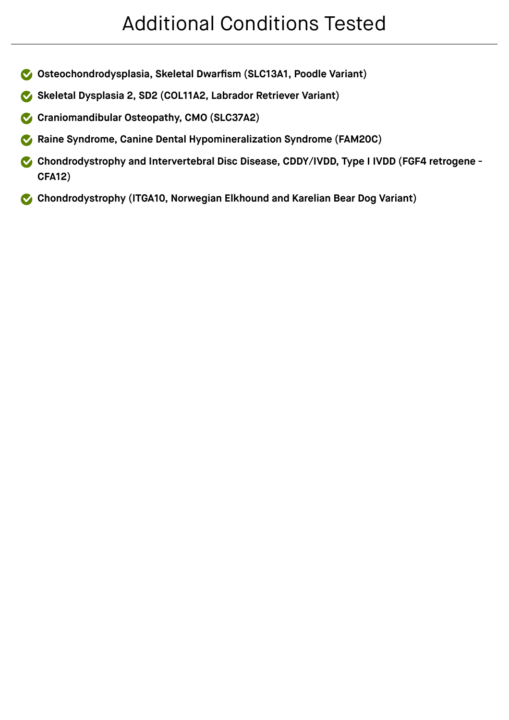- **Osteochondrodysplasia, Skeletal Dwarfism (SLC13A1, Poodle Variant)**
- **Skeletal Dysplasia 2, SD2 (COL11A2, Labrador Retriever Variant)**
- **Craniomandibular Osteopathy, CMO (SLC37A2)**
- **Raine Syndrome, Canine Dental Hypomineralization Syndrome (FAM20C)**
- **Chondrodystrophy and Intervertebral Disc Disease, CDDY/IVDD, Type I IVDD (FGF4 retrogene - CFA12)**
- **Chondrodystrophy (ITGA10, Norwegian Elkhound and Karelian Bear Dog Variant)**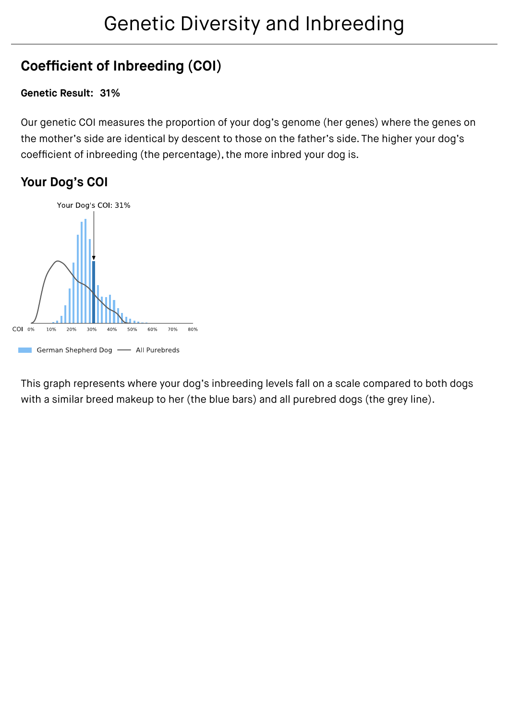### **Coefficient of Inbreeding (COI)**

#### **Genetic Result: 31%**

Our genetic COI measures the proportion of your dog's genome (her genes) where the genes on the mother's side are identical by descent to those on the father's side. The higher your dog's coefficient of inbreeding (the percentage), the more inbred your dog is.

#### **Your Dog's COI**



This graph represents where your dog's inbreeding levels fall on a scale compared to both dogs with a similar breed makeup to her (the blue bars) and all purebred dogs (the grey line).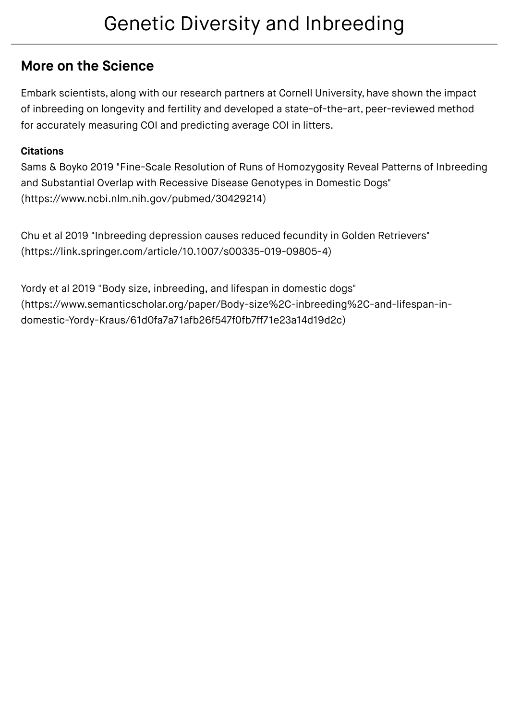### Genetic Diversity and Inbreeding

### **More on the Science**

Embark scientists, along with our research partners at Cornell University, have shown the impact of inbreeding on longevity and fertility and developed a state-of-the-art, peer-reviewed method for accurately measuring COI and predicting average COI in litters.

#### **Citations**

Sams & Boyko 2019 "Fine-Scale [Resolution of Runs of Homozygosity Reveal Patterns of Inbreeding](https://www.ncbi.nlm.nih.gov/pubmed/30429214) and Substantial Overlap with Recessive Disease Genotypes in Domestic Dogs" (https://www.ncbi.nlm.nih.gov/pubmed/30429214)

Chu et al 2019 "Inbreeding depression causes reduced fecundity in Golden Retrievers" [\(https://link.springer.com/article/10.1007/s00335-019-09805-4\)](https://link.springer.com/article/10.1007/s00335-019-09805-4)

Yordy et al 2019 "Body size, inbreeding, and lifespan in domestic dogs" [\(https://www.semanticscholar.org/paper/Body-size%2C-inbreeding%2C-and-lifespan-in](https://www.semanticscholar.org/paper/Body-size%2C-inbreeding%2C-and-lifespan-in-domestic-Yordy-Kraus/61d0fa7a71afb26f547f0fb7ff71e23a14d19d2c)domestic-Yordy-Kraus/61d0fa7a71afb26f547f0fb7ff71e23a14d19d2c)